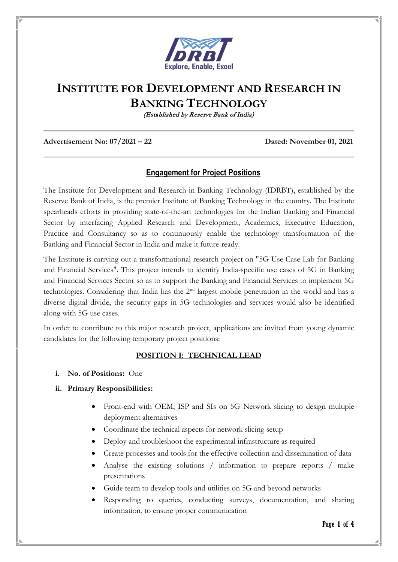

# **INSTITUTE FOR DEVELOPMENT AND RESEARCH IN BANKING TECHNOLOGY**

(Established by Reserve Bank of India)

#### **Advertisement No: 07/2021 – 22 Dated: November 01, 2021**

# **Engagement for Project Positions**

The Institute for Development and Research in Banking Technology (IDRBT), established by the Reserve Bank of India, is the premier Institute of Banking Technology in the country. The Institute spearheads efforts in providing state-of-the-art technologies for the Indian Banking and Financial Sector by interfacing Applied Research and Development, Academics, Executive Education, Practice and Consultancy so as to continuously enable the technology transformation of the Banking and Financial Sector in India and make it future-ready.

The Institute is carrying out a transformational research project on "5G Use Case Lab for Banking and Financial Services". This project intends to identify India-specific use cases of 5G in Banking and Financial Services Sector so as to support the Banking and Financial Services to implement 5G technologies. Considering that India has the 2nd largest mobile penetration in the world and has a diverse digital divide, the security gaps in 5G technologies and services would also be identified along with 5G use cases.

In order to contribute to this major research project, applications are invited from young dynamic candidates for the following temporary project positions:

# **POSITION I: TECHNICAL LEAD**

**i. No. of Positions:** One

#### **ii. Primary Responsibilities:**

- Front-end with OEM, ISP and SIs on 5G Network slicing to design multiple deployment alternatives
- Coordinate the technical aspects for network slicing setup
- Deploy and troubleshoot the experimental infrastructure as required
- Create processes and tools for the effective collection and dissemination of data
- Analyse the existing solutions / information to prepare reports / make presentations
- Guide team to develop tools and utilities on 5G and beyond networks
- Responding to queries, conducting surveys, documentation, and sharing information, to ensure proper communication

Page **1** of **4**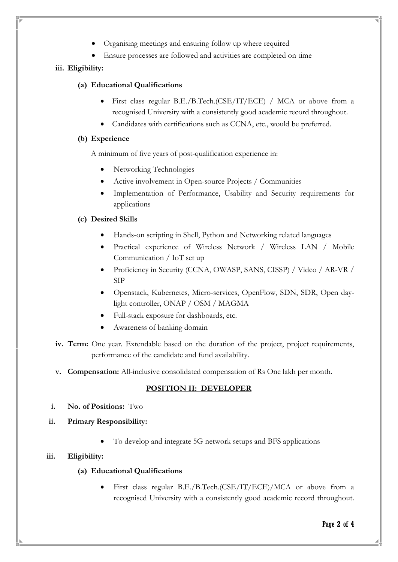- Organising meetings and ensuring follow up where required
- Ensure processes are followed and activities are completed on time

# **iii. Eligibility:**

#### **(a) Educational Qualifications**

- First class regular B.E./B.Tech.(CSE/IT/ECE) / MCA or above from a recognised University with a consistently good academic record throughout.
- Candidates with certifications such as CCNA, etc., would be preferred.

# **(b) Experience**

A minimum of five years of post-qualification experience in:

- Networking Technologies
- Active involvement in Open-source Projects / Communities
- Implementation of Performance, Usability and Security requirements for applications

# **(c) Desired Skills**

- Hands-on scripting in Shell, Python and Networking related languages
- Practical experience of Wireless Network / Wireless LAN / Mobile Communication / IoT set up
- Proficiency in Security (CCNA, OWASP, SANS, CISSP) / Video / AR-VR / SIP
- Openstack, Kubernetes, Micro-services, OpenFlow, SDN, SDR, Open daylight controller, ONAP / OSM / MAGMA
- Full-stack exposure for dashboards, etc.
- Awareness of banking domain
- **iv. Term:** One year. Extendable based on the duration of the project, project requirements, performance of the candidate and fund availability.
- **v. Compensation:** All-inclusive consolidated compensation of Rs One lakh per month.

# **POSITION II: DEVELOPER**

- **i. No. of Positions:** Two
- **ii. Primary Responsibility:**
	- To develop and integrate 5G network setups and BFS applications

# **iii. Eligibility:**

- **(a) Educational Qualifications**
	- First class regular B.E./B.Tech.(CSE/IT/ECE)/MCA or above from a recognised University with a consistently good academic record throughout.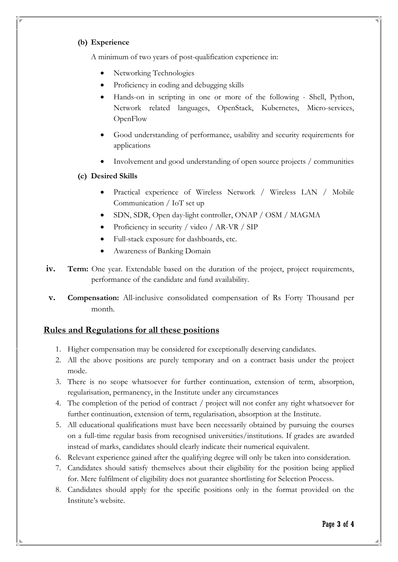# **(b) Experience**

A minimum of two years of post-qualification experience in:

- Networking Technologies
- Proficiency in coding and debugging skills
- Hands-on in scripting in one or more of the following Shell, Python, Network related languages, OpenStack, Kubernetes, Micro-services, **OpenFlow**
- Good understanding of performance, usability and security requirements for applications
- Involvement and good understanding of open source projects / communities
- **(c) Desired Skills**
	- Practical experience of Wireless Network / Wireless LAN / Mobile Communication / IoT set up
	- SDN, SDR, Open day-light controller, ONAP / OSM / MAGMA
	- Proficiency in security / video / AR-VR / SIP
	- Full-stack exposure for dashboards, etc.
	- Awareness of Banking Domain
- **iv. Term:** One year. Extendable based on the duration of the project, project requirements, performance of the candidate and fund availability.
- **v. Compensation:** All-inclusive consolidated compensation of Rs Forty Thousand per month.

# **Rules and Regulations for all these positions**

- 1. Higher compensation may be considered for exceptionally deserving candidates.
- 2. All the above positions are purely temporary and on a contract basis under the project mode.
- 3. There is no scope whatsoever for further continuation, extension of term, absorption, regularisation, permanency, in the Institute under any circumstances
- 4. The completion of the period of contract / project will not confer any right whatsoever for further continuation, extension of term, regularisation, absorption at the Institute.
- 5. All educational qualifications must have been necessarily obtained by pursuing the courses on a full-time regular basis from recognised universities/institutions. If grades are awarded instead of marks, candidates should clearly indicate their numerical equivalent.
- 6. Relevant experience gained after the qualifying degree will only be taken into consideration.
- 7. Candidates should satisfy themselves about their eligibility for the position being applied for. Mere fulfilment of eligibility does not guarantee shortlisting for Selection Process.
- 8. Candidates should apply for the specific positions only in the format provided on the Institute's website.